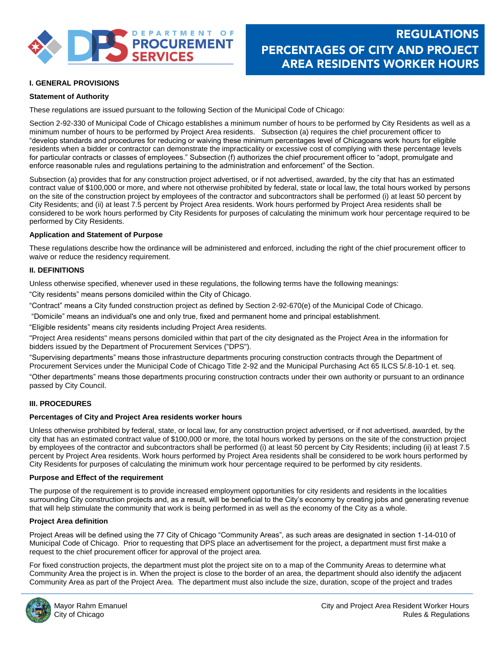

# **I. GENERAL PROVISIONS**

## **Statement of Authority**

These regulations are issued pursuant to the following Section of the Municipal Code of Chicago:

Section 2-92-330 of Municipal Code of Chicago establishes a minimum number of hours to be performed by City Residents as well as a minimum number of hours to be performed by Project Area residents. Subsection (a) requires the chief procurement officer to "develop standards and procedures for reducing or waiving these minimum percentages level of Chicagoans work hours for eligible residents when a bidder or contractor can demonstrate the impracticality or excessive cost of complying with these percentage levels for particular contracts or classes of employees." Subsection (f) authorizes the chief procurement officer to "adopt, promulgate and enforce reasonable rules and regulations pertaining to the administration and enforcement" of the Section.

Subsection (a) provides that for any construction project advertised, or if not advertised, awarded, by the city that has an estimated contract value of \$100,000 or more, and where not otherwise prohibited by federal, state or local law, the total hours worked by persons on the site of the construction project by employees of the contractor and subcontractors shall be performed (i) at least 50 percent by City Residents; and (ii) at least 7.5 percent by Project Area residents. Work hours performed by Project Area residents shall be considered to be work hours performed by City Residents for purposes of calculating the minimum work hour percentage required to be performed by City Residents.

## **Application and Statement of Purpose**

These regulations describe how the ordinance will be administered and enforced, including the right of the chief procurement officer to waive or reduce the residency requirement.

## **II. DEFINITIONS**

Unless otherwise specified, whenever used in these regulations, the following terms have the following meanings:

"City residents" means persons domiciled within the City of Chicago.

"Contract" means a City funded construction project as defined by Section 2-92-670(e) of the Municipal Code of Chicago.

"Domicile" means an individual's one and only true, fixed and permanent home and principal establishment.

"Eligible residents" means city residents including Project Area residents.

"Project Area residents" means persons domiciled within that part of the city designated as the Project Area in the information for bidders issued by the Department of Procurement Services ("DPS").

"Supervising departments" means those infrastructure departments procuring construction contracts through the Department of Procurement Services under the Municipal Code of Chicago Title 2-92 and the Municipal Purchasing Act 65 ILCS 5/.8-10-1 et. seq. "Other departments" means those departments procuring construction contracts under their own authority or pursuant to an ordinance passed by City Council.

## **III. PROCEDURES**

#### **Percentages of City and Project Area residents worker hours**

Unless otherwise prohibited by federal, state, or local law, for any construction project advertised, or if not advertised, awarded, by the city that has an estimated contract value of \$100,000 or more, the total hours worked by persons on the site of the construction project by employees of the contractor and subcontractors shall be performed (i) at least 50 percent by City Residents; including (ii) at least 7.5 percent by Project Area residents. Work hours performed by Project Area residents shall be considered to be work hours performed by City Residents for purposes of calculating the minimum work hour percentage required to be performed by city residents.

#### **Purpose and Effect of the requirement**

The purpose of the requirement is to provide increased employment opportunities for city residents and residents in the localities surrounding City construction projects and, as a result, will be beneficial to the City's economy by creating jobs and generating revenue that will help stimulate the community that work is being performed in as well as the economy of the City as a whole.

#### **Project Area definition**

Project Areas will be defined using the 77 City of Chicago "Community Areas", as such areas are designated in section 1-14-010 of Municipal Code of Chicago. Prior to requesting that DPS place an advertisement for the project, a department must first make a request to the chief procurement officer for approval of the project area.

For fixed construction projects, the department must plot the project site on to a map of the Community Areas to determine what Community Area the project is in. When the project is close to the border of an area, the department should also identify the adjacent Community Area as part of the Project Area. The department must also include the size, duration, scope of the project and trades